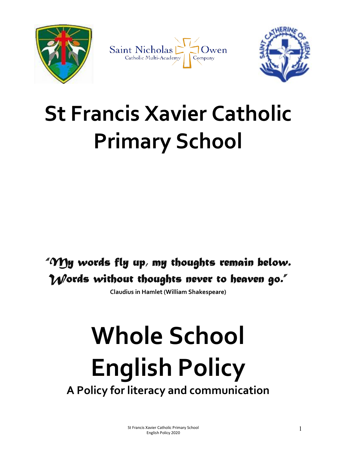



# St Francis Xavier Catholic Primary School

# "My words fly up, my thoughts remain below. Words without thoughts never to heaven go."

Claudius in Hamlet (William Shakespeare)

# Whole School English Policy A Policy for literacy and communication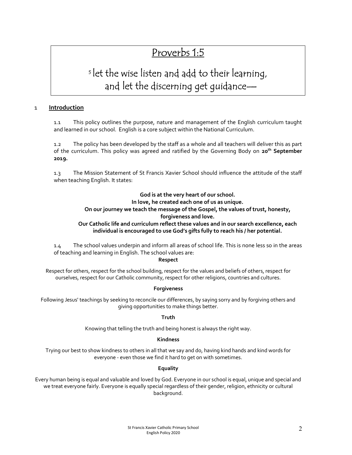# Proverbs 1:5

# <sup>5</sup>let the wise listen and add to their learning, and let the discerning get guidance—

## 1 Introduction

1.1 This policy outlines the purpose, nature and management of the English curriculum taught and learned in our school. English is a core subject within the National Curriculum.

1.2 The policy has been developed by the staff as a whole and all teachers will deliver this as part of the curriculum. This policy was agreed and ratified by the Governing Body on 20<sup>th</sup> September 2019.

1.3 The Mission Statement of St Francis Xavier School should influence the attitude of the staff when teaching English. It states:

# God is at the very heart of our school.

#### In love, he created each one of us as unique. On our journey we teach the message of the Gospel, the values of trust, honesty,

# forgiveness and love.

### Our Catholic life and curriculum reflect these values and in our search excellence, each individual is encouraged to use God's gifts fully to reach his / her potential.

1.4 The school values underpin and inform all areas of school life. This is none less so in the areas of teaching and learning in English. The school values are:

#### Respect

Respect for others, respect for the school building, respect for the values and beliefs of others, respect for ourselves, respect for our Catholic community, respect for other religions, countries and cultures.

#### **Forgiveness**

Following Jesus' teachings by seeking to reconcile our differences, by saying sorry and by forgiving others and giving opportunities to make things better.

#### Truth

Knowing that telling the truth and being honest is always the right way.

#### Kindness

Trying our best to show kindness to others in all that we say and do, having kind hands and kind words for everyone - even those we find it hard to get on with sometimes.

#### **Equality**

Every human being is equal and valuable and loved by God. Everyone in our school is equal, unique and special and we treat everyone fairly. Everyone is equally special regardless of their gender, religion, ethnicity or cultural background.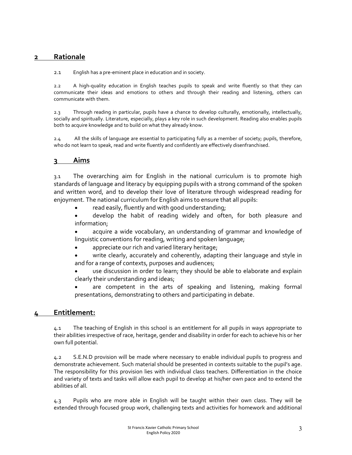# 2 Rationale

2.1 English has a pre-eminent place in education and in society.

2.2 A high-quality education in English teaches pupils to speak and write fluently so that they can communicate their ideas and emotions to others and through their reading and listening, others can communicate with them.

2.3 Through reading in particular, pupils have a chance to develop culturally, emotionally, intellectually, socially and spiritually. Literature, especially, plays a key role in such development. Reading also enables pupils both to acquire knowledge and to build on what they already know.

2.4 All the skills of language are essential to participating fully as a member of society; pupils, therefore, who do not learn to speak, read and write fluently and confidently are effectively disenfranchised.

# 3 Aims

3.1 The overarching aim for English in the national curriculum is to promote high standards of language and literacy by equipping pupils with a strong command of the spoken and written word, and to develop their love of literature through widespread reading for enjoyment. The national curriculum for English aims to ensure that all pupils:

- read easily, fluently and with good understanding;
- develop the habit of reading widely and often, for both pleasure and information;
- acquire a wide vocabulary, an understanding of grammar and knowledge of linguistic conventions for reading, writing and spoken language;
- appreciate our rich and varied literary heritage;
- write clearly, accurately and coherently, adapting their language and style in and for a range of contexts, purposes and audiences;
- use discussion in order to learn; they should be able to elaborate and explain clearly their understanding and ideas;
- are competent in the arts of speaking and listening, making formal presentations, demonstrating to others and participating in debate.

# 4 Entitlement:

4.1 The teaching of English in this school is an entitlement for all pupils in ways appropriate to their abilities irrespective of race, heritage, gender and disability in order for each to achieve his or her own full potential.

4.2 S.E.N.D provision will be made where necessary to enable individual pupils to progress and demonstrate achievement. Such material should be presented in contexts suitable to the pupil's age. The responsibility for this provision lies with individual class teachers. Differentiation in the choice and variety of texts and tasks will allow each pupil to develop at his/her own pace and to extend the abilities of all.

4.3 Pupils who are more able in English will be taught within their own class. They will be extended through focused group work, challenging texts and activities for homework and additional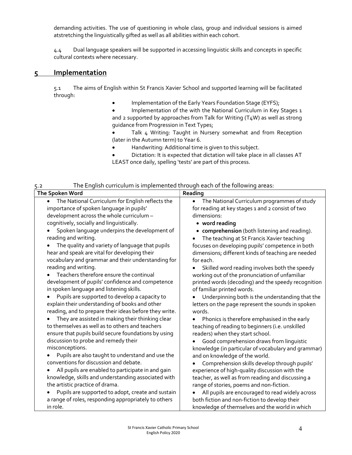demanding activities. The use of questioning in whole class, group and individual sessions is aimed atstretching the linguistically gifted as well as all abilities within each cohort.

4.4 Dual language speakers will be supported in accessing linguistic skills and concepts in specific cultural contexts where necessary.

# 5 Implementation

5.1 The aims of English within St Francis Xavier School and supported learning will be facilitated through:

• Implementation of the Early Years Foundation Stage (EYFS);

 Implementation of the with the National Curriculum in Key Stages 1 and 2 supported by approaches from Talk for Writing (T4W) as well as strong guidance from Progression in Text Types;

 Talk 4 Writing: Taught in Nursery somewhat and from Reception (later in the Autumn term) to Year 6.

- Handwriting: Additional time is given to this subject.
- Dictation: It is expected that dictation will take place in all classes AT LEAST once daily, spelling 'tests' are part of this process.

| The English curriculum is implemented through each of the following areas:<br>5.2                                                                                                                                                                                                                                                                                                                                                                                                                                                                                                                                                                                                                                                                        |                                                                                                                                                                                                                                                                                                                                                                                                                                                                                                                                                                                                                                                                                |
|----------------------------------------------------------------------------------------------------------------------------------------------------------------------------------------------------------------------------------------------------------------------------------------------------------------------------------------------------------------------------------------------------------------------------------------------------------------------------------------------------------------------------------------------------------------------------------------------------------------------------------------------------------------------------------------------------------------------------------------------------------|--------------------------------------------------------------------------------------------------------------------------------------------------------------------------------------------------------------------------------------------------------------------------------------------------------------------------------------------------------------------------------------------------------------------------------------------------------------------------------------------------------------------------------------------------------------------------------------------------------------------------------------------------------------------------------|
| The Spoken Word                                                                                                                                                                                                                                                                                                                                                                                                                                                                                                                                                                                                                                                                                                                                          | Reading                                                                                                                                                                                                                                                                                                                                                                                                                                                                                                                                                                                                                                                                        |
| The National Curriculum for English reflects the<br>importance of spoken language in pupils'<br>development across the whole curriculum -<br>cognitively, socially and linguistically.<br>Spoken language underpins the development of<br>reading and writing.<br>The quality and variety of language that pupils<br>hear and speak are vital for developing their<br>vocabulary and grammar and their understanding for<br>reading and writing.<br>Teachers therefore ensure the continual<br>development of pupils' confidence and competence<br>in spoken language and listening skills.<br>Pupils are supported to develop a capacity to<br>explain their understanding of books and other<br>reading, and to prepare their ideas before they write. | The National Curriculum programmes of study<br>$\bullet$<br>for reading at key stages 1 and 2 consist of two<br>dimensions:<br>• word reading<br>• comprehension (both listening and reading).<br>The teaching at St Francis Xavier teaching<br>focuses on developing pupils' competence in both<br>dimensions; different kinds of teaching are needed<br>for each.<br>Skilled word reading involves both the speedy<br>working out of the pronunciation of unfamiliar<br>printed words (decoding) and the speedy recognition<br>of familiar printed words.<br>Underpinning both is the understanding that the<br>letters on the page represent the sounds in spoken<br>words. |
| They are assisted in making their thinking clear<br>to themselves as well as to others and teachers<br>ensure that pupils build secure foundations by using<br>discussion to probe and remedy their<br>misconceptions.<br>Pupils are also taught to understand and use the<br>conventions for discussion and debate.<br>All pupils are enabled to participate in and gain<br>knowledge, skills and understanding associated with<br>the artistic practice of drama.<br>Pupils are supported to adopt, create and sustain<br>a range of roles, responding appropriately to others<br>in role.                                                                                                                                                             | Phonics is therefore emphasised in the early<br>teaching of reading to beginners (i.e. unskilled<br>readers) when they start school.<br>Good comprehension draws from linguistic<br>knowledge (in particular of vocabulary and grammar)<br>and on knowledge of the world.<br>Comprehension skills develop through pupils'<br>experience of high-quality discussion with the<br>teacher, as well as from reading and discussing a<br>range of stories, poems and non-fiction.<br>All pupils are encouraged to read widely across<br>both fiction and non-fiction to develop their<br>knowledge of themselves and the world in which                                             |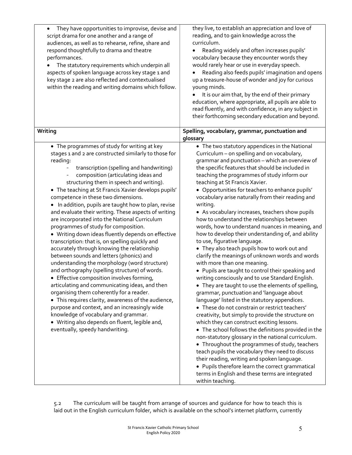| They have opportunities to improvise, devise and<br>$\bullet$<br>script drama for one another and a range of<br>audiences, as well as to rehearse, refine, share and<br>respond thoughtfully to drama and theatre<br>performances.<br>The statutory requirements which underpin all<br>aspects of spoken language across key stage 1 and<br>key stage 2 are also reflected and contextualised<br>within the reading and writing domains which follow.                                                                                                                                                                                                                                                                                                                                                                                                                                                                                                                                                                                                                                                                                                                                                                                           | they live, to establish an appreciation and love of<br>reading, and to gain knowledge across the<br>curriculum.<br>Reading widely and often increases pupils'<br>vocabulary because they encounter words they<br>would rarely hear or use in everyday speech.<br>Reading also feeds pupils' imagination and opens<br>up a treasure-house of wonder and joy for curious<br>young minds.<br>It is our aim that, by the end of their primary<br>education, where appropriate, all pupils are able to<br>read fluently, and with confidence, in any subject in<br>their forthcoming secondary education and beyond.                                                                                                                                                                                                                                                                                                                                                                                                                                                                                                                                                                                                                                                                                                                                                                                                                                                                                                                                                                                        |
|-------------------------------------------------------------------------------------------------------------------------------------------------------------------------------------------------------------------------------------------------------------------------------------------------------------------------------------------------------------------------------------------------------------------------------------------------------------------------------------------------------------------------------------------------------------------------------------------------------------------------------------------------------------------------------------------------------------------------------------------------------------------------------------------------------------------------------------------------------------------------------------------------------------------------------------------------------------------------------------------------------------------------------------------------------------------------------------------------------------------------------------------------------------------------------------------------------------------------------------------------|--------------------------------------------------------------------------------------------------------------------------------------------------------------------------------------------------------------------------------------------------------------------------------------------------------------------------------------------------------------------------------------------------------------------------------------------------------------------------------------------------------------------------------------------------------------------------------------------------------------------------------------------------------------------------------------------------------------------------------------------------------------------------------------------------------------------------------------------------------------------------------------------------------------------------------------------------------------------------------------------------------------------------------------------------------------------------------------------------------------------------------------------------------------------------------------------------------------------------------------------------------------------------------------------------------------------------------------------------------------------------------------------------------------------------------------------------------------------------------------------------------------------------------------------------------------------------------------------------------|
| Writing                                                                                                                                                                                                                                                                                                                                                                                                                                                                                                                                                                                                                                                                                                                                                                                                                                                                                                                                                                                                                                                                                                                                                                                                                                         | Spelling, vocabulary, grammar, punctuation and<br>glossary                                                                                                                                                                                                                                                                                                                                                                                                                                                                                                                                                                                                                                                                                                                                                                                                                                                                                                                                                                                                                                                                                                                                                                                                                                                                                                                                                                                                                                                                                                                                             |
| • The programmes of study for writing at key<br>stages 1 and 2 are constructed similarly to those for<br>reading:<br>transcription (spelling and handwriting)<br>composition (articulating ideas and<br>structuring them in speech and writing).<br>• The teaching at St Francis Xavier develops pupils'<br>competence in these two dimensions.<br>• In addition, pupils are taught how to plan, revise<br>and evaluate their writing. These aspects of writing<br>are incorporated into the National Curriculum<br>programmes of study for composition.<br>• Writing down ideas fluently depends on effective<br>transcription: that is, on spelling quickly and<br>accurately through knowing the relationship<br>between sounds and letters (phonics) and<br>understanding the morphology (word structure)<br>and orthography (spelling structure) of words.<br>• Effective composition involves forming,<br>articulating and communicating ideas, and then<br>organising them coherently for a reader.<br>• This requires clarity, awareness of the audience,<br>purpose and context, and an increasingly wide<br>knowledge of vocabulary and grammar.<br>• Writing also depends on fluent, legible and,<br>eventually, speedy handwriting. | • The two statutory appendices in the National<br>Curriculum - on spelling and on vocabulary,<br>grammar and punctuation - which an overview of<br>the specific features that should be included in<br>teaching the programmes of study inform our<br>teaching at St Francis Xavier.<br>• Opportunities for teachers to enhance pupils'<br>vocabulary arise naturally from their reading and<br>writing.<br>• As vocabulary increases, teachers show pupils<br>how to understand the relationships between<br>words, how to understand nuances in meaning, and<br>how to develop their understanding of, and ability<br>to use, figurative language.<br>• They also teach pupils how to work out and<br>clarify the meanings of unknown words and words<br>with more than one meaning.<br>• Pupils are taught to control their speaking and<br>writing consciously and to use Standard English.<br>• They are taught to use the elements of spelling,<br>grammar, punctuation and 'language about<br>language' listed in the statutory appendices.<br>• These do not constrain or restrict teachers'<br>creativity, but simply to provide the structure on<br>which they can construct exciting lessons.<br>• The school follows the definitions provided in the<br>non-statutory glossary in the national curriculum.<br>• Throughout the programmes of study, teachers<br>teach pupils the vocabulary they need to discuss<br>their reading, writing and spoken language.<br>• Pupils therefore learn the correct grammatical<br>terms in English and these terms are integrated<br>within teaching. |

5.2 The curriculum will be taught from arrange of sources and guidance for how to teach this is laid out in the English curriculum folder, which is available on the school's internet platform, currently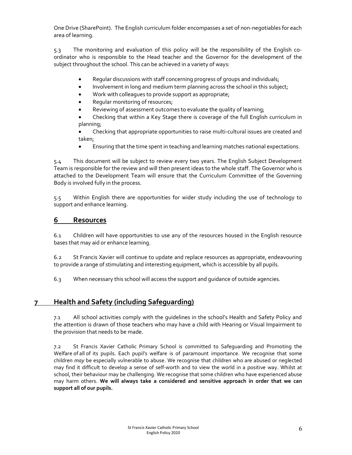One Drive (SharePoint). The English curriculum folder encompasses a set of non-negotiables for each area of learning.

5.3 The monitoring and evaluation of this policy will be the responsibility of the English coordinator who is responsible to the Head teacher and the Governor for the development of the subject throughout the school. This can be achieved in a variety of ways:

- Regular discussions with staff concerning progress of groups and individuals;
- Involvement in long and medium term planning across the school in this subject;
- Work with colleagues to provide support as appropriate;
- Regular monitoring of resources;
- Reviewing of assessment outcomes to evaluate the quality of learning;
- Checking that within a Key Stage there is coverage of the full English curriculum in planning;
- Checking that appropriate opportunities to raise multi-cultural issues are created and taken;
- Ensuring that the time spent in teaching and learning matches national expectations.

5.4 This document will be subject to review every two years. The English Subject Development Team is responsible for the review and will then present ideas to the whole staff. The Governor who is attached to the Development Team will ensure that the Curriculum Committee of the Governing Body is involved fully in the process.

5.5 Within English there are opportunities for wider study including the use of technology to support and enhance learning.

# 6 Resources

6.1 Children will have opportunities to use any of the resources housed in the English resource bases that may aid or enhance learning.

6.2 St Francis Xavier will continue to update and replace resources as appropriate, endeavouring to provide a range of stimulating and interesting equipment, which is accessible by all pupils.

6.3 When necessary this school will access the support and guidance of outside agencies.

# 7 Health and Safety (including Safeguarding)

7.1 All school activities comply with the guidelines in the school's Health and Safety Policy and the attention is drawn of those teachers who may have a child with Hearing or Visual Impairment to the provision that needs to be made.

7.2 St Francis Xavier Catholic Primary School is committed to Safeguarding and Promoting the Welfare of all of its pupils. Each pupil's welfare is of paramount importance. We recognise that some children may be especially vulnerable to abuse. We recognise that children who are abused or neglected may find it difficult to develop a sense of self-worth and to view the world in a positive way. Whilst at school, their behaviour may be challenging. We recognise that some children who have experienced abuse may harm others. We will always take a considered and sensitive approach in order that we can support all of our pupils.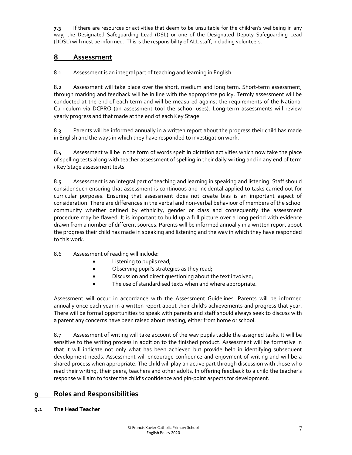7.3 If there are resources or activities that deem to be unsuitable for the children's wellbeing in any way, the Designated Safeguarding Lead (DSL) or one of the Designated Deputy Safeguarding Lead (DDSL) will must be informed. This is the responsibility of ALL staff, including volunteers.

# 8 Assessment

8.1 Assessment is an integral part of teaching and learning in English.

8.2 Assessment will take place over the short, medium and long term. Short-term assessment, through marking and feedback will be in line with the appropriate policy. Termly assessment will be conducted at the end of each term and will be measured against the requirements of the National Curriculum via DCPRO (an assessment tool the school uses). Long-term assessments will review yearly progress and that made at the end of each Key Stage.

8.3 Parents will be informed annually in a written report about the progress their child has made in English and the ways in which they have responded to investigation work.

8.4 Assessment will be in the form of words spelt in dictation activities which now take the place of spelling tests along with teacher assessment of spelling in their daily writing and in any end of term / Key Stage assessment tests.

8.5 Assessment is an integral part of teaching and learning in speaking and listening. Staff should consider such ensuring that assessment is continuous and incidental applied to tasks carried out for curricular purposes. Ensuring that assessment does not create bias is an important aspect of consideration. There are differences in the verbal and non-verbal behaviour of members of the school community whether defined by ethnicity, gender or class and consequently the assessment procedure may be flawed. It is important to build up a full picture over a long period with evidence drawn from a number of different sources. Parents will be informed annually in a written report about the progress their child has made in speaking and listening and the way in which they have responded to this work.

- 8.6 Assessment of reading will include:
	- Listening to pupils read;
	- Observing pupil's strategies as they read;
	- **•** Discussion and direct questioning about the text involved;
	- The use of standardised texts when and where appropriate.

Assessment will occur in accordance with the Assessment Guidelines. Parents will be informed annually once each year in a written report about their child's achievements and progress that year. There will be formal opportunities to speak with parents and staff should always seek to discuss with a parent any concerns have been raised about reading, either from home or school.

8.7 Assessment of writing will take account of the way pupils tackle the assigned tasks. It will be sensitive to the writing process in addition to the finished product. Assessment will be formative in that it will indicate not only what has been achieved but provide help in identifying subsequent development needs. Assessment will encourage confidence and enjoyment of writing and will be a shared process when appropriate. The child will play an active part through discussion with those who read their writing, their peers, teachers and other adults. In offering feedback to a child the teacher's response will aim to foster the child's confidence and pin-point aspects for development.

# 9 Roles and Responsibilities

#### 9.1 The Head Teacher